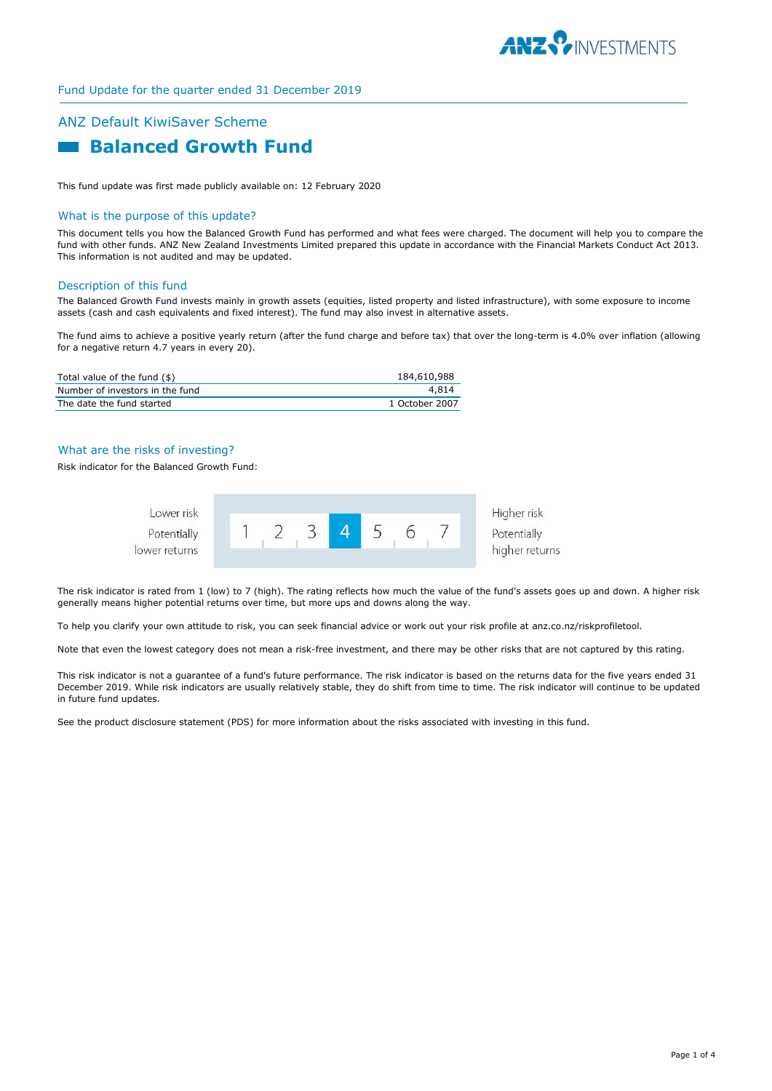

# ANZ Default KiwiSaver Scheme  **Balanced Growth Fund**

This fund update was first made publicly available on: 12 February 2020

#### What is the purpose of this update?

This document tells you how the Balanced Growth Fund has performed and what fees were charged. The document will help you to compare the fund with other funds. ANZ New Zealand Investments Limited prepared this update in accordance with the Financial Markets Conduct Act 2013. This information is not audited and may be updated.

#### Description of this fund

The Balanced Growth Fund invests mainly in growth assets (equities, listed property and listed infrastructure), with some exposure to income assets (cash and cash equivalents and fixed interest). The fund may also invest in alternative assets.

The fund aims to achieve a positive yearly return (after the fund charge and before tax) that over the long-term is 4.0% over inflation (allowing for a negative return 4.7 years in every 20).

| Total value of the fund (\$)    | 184,610,988    |
|---------------------------------|----------------|
| Number of investors in the fund | 4.814          |
| The date the fund started       | 1 October 2007 |

## What are the risks of investing?

Risk indicator for the Balanced Growth Fund:



The risk indicator is rated from 1 (low) to 7 (high). The rating reflects how much the value of the fund's assets goes up and down. A higher risk generally means higher potential returns over time, but more ups and downs along the way.

To help you clarify your own attitude to risk, you can seek financial advice or work out your risk profile at anz.co.nz/riskprofiletool.

Note that even the lowest category does not mean a risk-free investment, and there may be other risks that are not captured by this rating.

This risk indicator is not a guarantee of a fund's future performance. The risk indicator is based on the returns data for the five years ended 31 December 2019. While risk indicators are usually relatively stable, they do shift from time to time. The risk indicator will continue to be updated in future fund updates.

See the product disclosure statement (PDS) for more information about the risks associated with investing in this fund.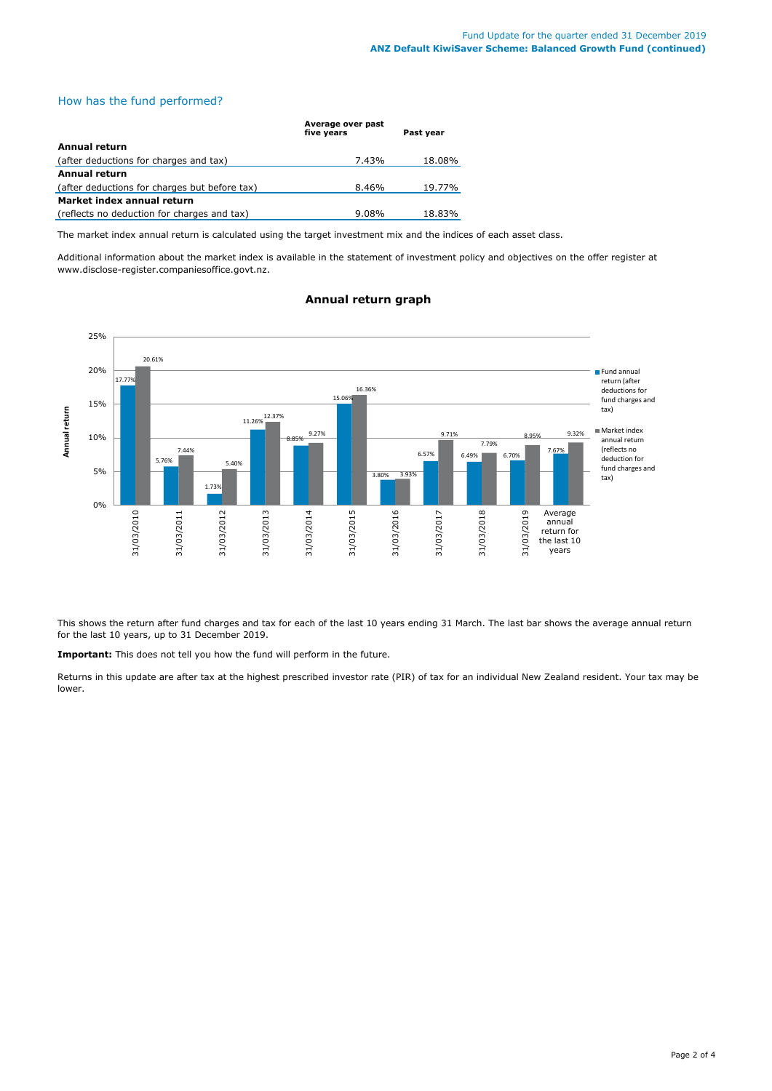# How has the fund performed?

|                                               | Average over past<br>five vears | Past vear |
|-----------------------------------------------|---------------------------------|-----------|
| <b>Annual return</b>                          |                                 |           |
| (after deductions for charges and tax)        | 7.43%                           | 18.08%    |
| <b>Annual return</b>                          |                                 |           |
| (after deductions for charges but before tax) | 8.46%                           | 19.77%    |
| Market index annual return                    |                                 |           |
| (reflects no deduction for charges and tax)   | 9.08%                           | 18.83%    |

The market index annual return is calculated using the target investment mix and the indices of each asset class.

Additional information about the market index is available in the statement of investment policy and objectives on the offer register at www.disclose-register.companiesoffice.govt.nz.



# **Annual return graph**

This shows the return after fund charges and tax for each of the last 10 years ending 31 March. The last bar shows the average annual return for the last 10 years, up to 31 December 2019.

**Important:** This does not tell you how the fund will perform in the future.

Returns in this update are after tax at the highest prescribed investor rate (PIR) of tax for an individual New Zealand resident. Your tax may be lower.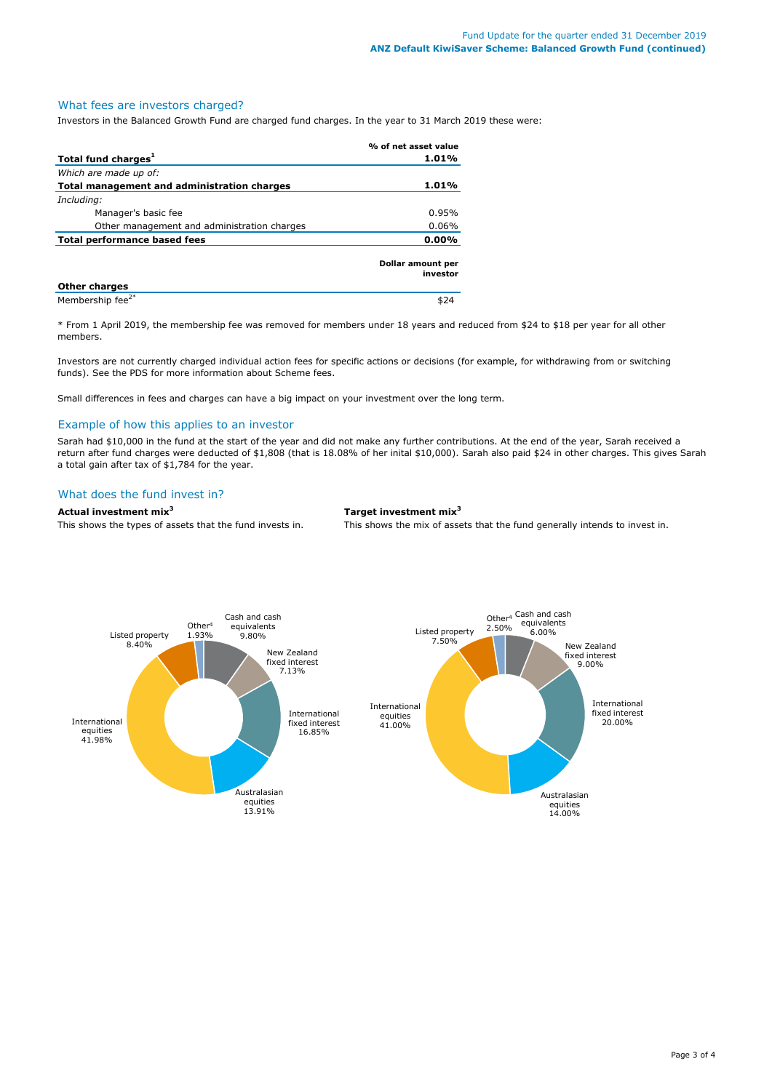#### What fees are investors charged?

Investors in the Balanced Growth Fund are charged fund charges. In the year to 31 March 2019 these were:

|                                             | % of net asset value          |
|---------------------------------------------|-------------------------------|
| Total fund charges <sup>1</sup>             | 1.01%                         |
| Which are made up of:                       |                               |
| Total management and administration charges | 1.01%                         |
| Including:                                  |                               |
| Manager's basic fee                         | 0.95%                         |
| Other management and administration charges | 0.06%                         |
| <b>Total performance based fees</b>         | 0.00%                         |
|                                             | Dollar amount per<br>investor |
| <b>Other charges</b>                        |                               |
| Membership fee <sup>2*</sup>                |                               |

\* From 1 April 2019, the membership fee was removed for members under 18 years and reduced from \$24 to \$18 per year for all other members.

Investors are not currently charged individual action fees for specific actions or decisions (for example, for withdrawing from or switching funds). See the PDS for more information about Scheme fees.

Small differences in fees and charges can have a big impact on your investment over the long term.

## Example of how this applies to an investor

Sarah had \$10,000 in the fund at the start of the year and did not make any further contributions. At the end of the year, Sarah received a return after fund charges were deducted of \$1,808 (that is 18.08% of her inital \$10,000). Sarah also paid \$24 in other charges. This gives Sarah a total gain after tax of \$1,784 for the year.

## What does the fund invest in?

#### **Actual investment mix<sup>3</sup> Target investment mix<sup>3</sup>**

This shows the types of assets that the fund invests in. This shows the mix of assets that the fund generally intends to invest in.